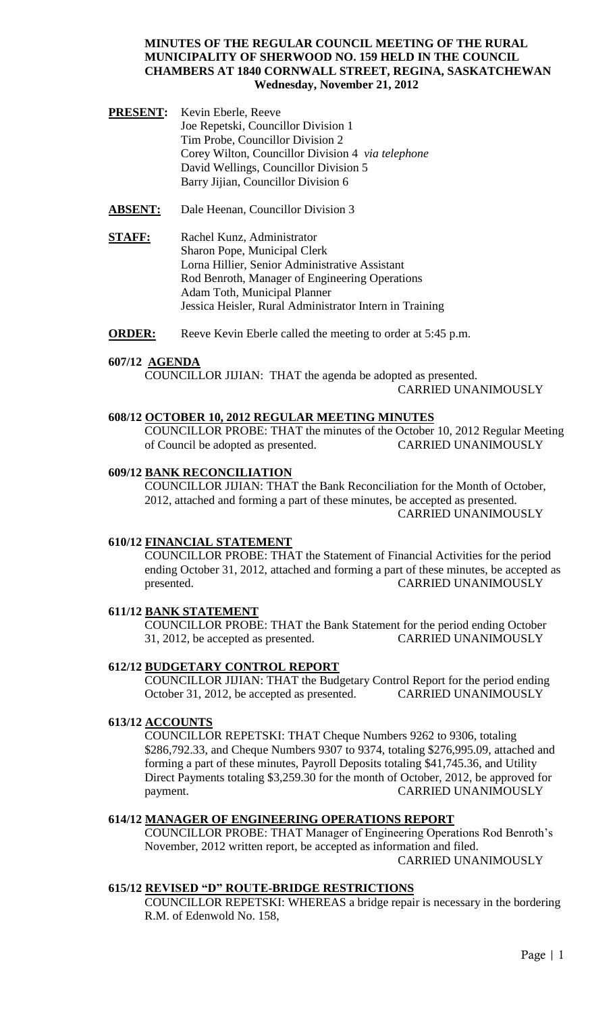- **PRESENT:** Kevin Eberle, Reeve Joe Repetski, Councillor Division 1 Tim Probe, Councillor Division 2 Corey Wilton, Councillor Division 4 *via telephone* David Wellings, Councillor Division 5 Barry Jijian, Councillor Division 6
- **ABSENT:** Dale Heenan, Councillor Division 3
- **STAFF:** Rachel Kunz, Administrator Sharon Pope, Municipal Clerk Lorna Hillier, Senior Administrative Assistant Rod Benroth, Manager of Engineering Operations Adam Toth, Municipal Planner Jessica Heisler, Rural Administrator Intern in Training
- **ORDER:** Reeve Kevin Eberle called the meeting to order at 5:45 p.m.

#### **607/12 AGENDA**

COUNCILLOR JIJIAN: THAT the agenda be adopted as presented. CARRIED UNANIMOUSLY

#### **608/12 OCTOBER 10, 2012 REGULAR MEETING MINUTES**

COUNCILLOR PROBE: THAT the minutes of the October 10, 2012 Regular Meeting of Council be adopted as presented. CARRIED UNANIMOUSLY

#### **609/12 BANK RECONCILIATION**

COUNCILLOR JIJIAN: THAT the Bank Reconciliation for the Month of October, 2012, attached and forming a part of these minutes, be accepted as presented. CARRIED UNANIMOUSLY

#### **610/12 FINANCIAL STATEMENT**

COUNCILLOR PROBE: THAT the Statement of Financial Activities for the period ending October 31, 2012, attached and forming a part of these minutes, be accepted as presented. CARRIED UNANIMOUSLY

## **611/12 BANK STATEMENT**

COUNCILLOR PROBE: THAT the Bank Statement for the period ending October 31, 2012, be accepted as presented. CARRIED UNANIMOUSLY

#### **612/12 BUDGETARY CONTROL REPORT**

COUNCILLOR JIJIAN: THAT the Budgetary Control Report for the period ending October 31, 2012, be accepted as presented. CARRIED UNANIMOUSLY

#### **613/12 ACCOUNTS**

COUNCILLOR REPETSKI: THAT Cheque Numbers 9262 to 9306, totaling \$286,792.33, and Cheque Numbers 9307 to 9374, totaling \$276,995.09, attached and forming a part of these minutes, Payroll Deposits totaling \$41,745.36, and Utility Direct Payments totaling \$3,259.30 for the month of October, 2012, be approved for payment. CARRIED UNANIMOUSLY

# **614/12 MANAGER OF ENGINEERING OPERATIONS REPORT**

COUNCILLOR PROBE: THAT Manager of Engineering Operations Rod Benroth's November, 2012 written report, be accepted as information and filed. CARRIED UNANIMOUSLY

# **615/12 REVISED "D" ROUTE-BRIDGE RESTRICTIONS**

COUNCILLOR REPETSKI: WHEREAS a bridge repair is necessary in the bordering R.M. of Edenwold No. 158,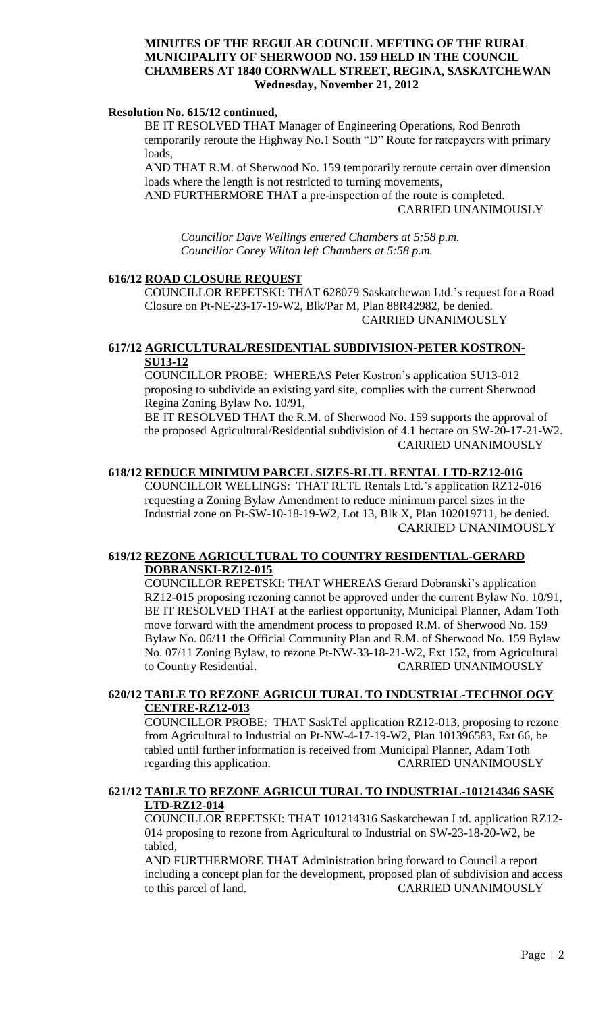#### **Resolution No. 615/12 continued,**

BE IT RESOLVED THAT Manager of Engineering Operations, Rod Benroth temporarily reroute the Highway No.1 South "D" Route for ratepayers with primary loads,

AND THAT R.M. of Sherwood No. 159 temporarily reroute certain over dimension loads where the length is not restricted to turning movements,

AND FURTHERMORE THAT a pre-inspection of the route is completed. CARRIED UNANIMOUSLY

*Councillor Dave Wellings entered Chambers at 5:58 p.m. Councillor Corey Wilton left Chambers at 5:58 p.m.*

#### **616/12 ROAD CLOSURE REQUEST**

COUNCILLOR REPETSKI: THAT 628079 Saskatchewan Ltd.'s request for a Road Closure on Pt-NE-23-17-19-W2, Blk/Par M, Plan 88R42982, be denied. CARRIED UNANIMOUSLY

## **617/12 AGRICULTURAL/RESIDENTIAL SUBDIVISION-PETER KOSTRON- SU13-12**

COUNCILLOR PROBE: WHEREAS Peter Kostron's application SU13-012 proposing to subdivide an existing yard site, complies with the current Sherwood Regina Zoning Bylaw No. 10/91,

BE IT RESOLVED THAT the R.M. of Sherwood No. 159 supports the approval of the proposed Agricultural/Residential subdivision of 4.1 hectare on SW-20-17-21-W2. CARRIED UNANIMOUSLY

## **618/12 REDUCE MINIMUM PARCEL SIZES-RLTL RENTAL LTD-RZ12-016**

COUNCILLOR WELLINGS: THAT RLTL Rentals Ltd.'s application RZ12-016 requesting a Zoning Bylaw Amendment to reduce minimum parcel sizes in the Industrial zone on Pt-SW-10-18-19-W2, Lot 13, Blk X, Plan 102019711, be denied. CARRIED UNANIMOUSLY

#### **619/12 REZONE AGRICULTURAL TO COUNTRY RESIDENTIAL-GERARD DOBRANSKI-RZ12-015**

COUNCILLOR REPETSKI: THAT WHEREAS Gerard Dobranski's application RZ12-015 proposing rezoning cannot be approved under the current Bylaw No. 10/91, BE IT RESOLVED THAT at the earliest opportunity, Municipal Planner, Adam Toth move forward with the amendment process to proposed R.M. of Sherwood No. 159 Bylaw No. 06/11 the Official Community Plan and R.M. of Sherwood No. 159 Bylaw No. 07/11 Zoning Bylaw, to rezone Pt-NW-33-18-21-W2, Ext 152, from Agricultural to Country Residential. CARRIED UNANIMOUSLY

### **620/12 TABLE TO REZONE AGRICULTURAL TO INDUSTRIAL-TECHNOLOGY CENTRE-RZ12-013**

COUNCILLOR PROBE: THAT SaskTel application RZ12-013, proposing to rezone from Agricultural to Industrial on Pt-NW-4-17-19-W2, Plan 101396583, Ext 66, be tabled until further information is received from Municipal Planner, Adam Toth regarding this application. CARRIED UNANIMOUSLY

## **621/12 TABLE TO REZONE AGRICULTURAL TO INDUSTRIAL-101214346 SASK LTD-RZ12-014**

COUNCILLOR REPETSKI: THAT 101214316 Saskatchewan Ltd. application RZ12- 014 proposing to rezone from Agricultural to Industrial on SW-23-18-20-W2, be tabled,

AND FURTHERMORE THAT Administration bring forward to Council a report including a concept plan for the development, proposed plan of subdivision and access to this parcel of land. CARRIED UNANIMOUSLY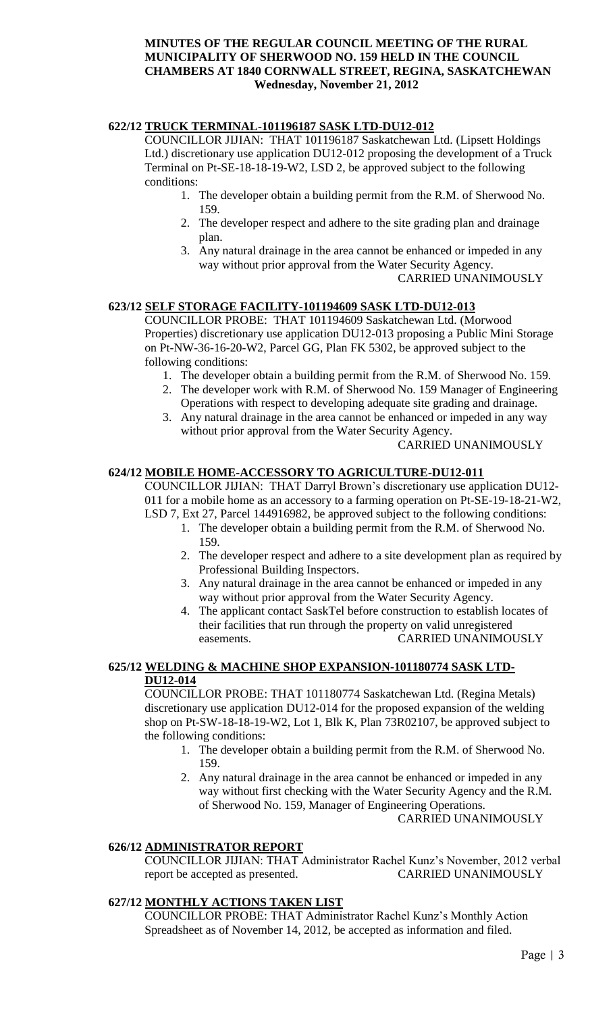# **622/12 TRUCK TERMINAL-101196187 SASK LTD-DU12-012**

COUNCILLOR JIJIAN: THAT 101196187 Saskatchewan Ltd. (Lipsett Holdings Ltd.) discretionary use application DU12-012 proposing the development of a Truck Terminal on Pt-SE-18-18-19-W2, LSD 2, be approved subject to the following conditions:

- 1. The developer obtain a building permit from the R.M. of Sherwood No. 159.
- 2. The developer respect and adhere to the site grading plan and drainage plan.
- 3. Any natural drainage in the area cannot be enhanced or impeded in any way without prior approval from the Water Security Agency. CARRIED UNANIMOUSLY

# **623/12 SELF STORAGE FACILITY-101194609 SASK LTD-DU12-013**

COUNCILLOR PROBE: THAT 101194609 Saskatchewan Ltd. (Morwood Properties) discretionary use application DU12-013 proposing a Public Mini Storage on Pt-NW-36-16-20-W2, Parcel GG, Plan FK 5302, be approved subject to the following conditions:

- 1. The developer obtain a building permit from the R.M. of Sherwood No. 159.
- 2. The developer work with R.M. of Sherwood No. 159 Manager of Engineering Operations with respect to developing adequate site grading and drainage.
- 3. Any natural drainage in the area cannot be enhanced or impeded in any way without prior approval from the Water Security Agency.

## CARRIED UNANIMOUSLY

# **624/12 MOBILE HOME-ACCESSORY TO AGRICULTURE-DU12-011**

COUNCILLOR JIJIAN: THAT Darryl Brown's discretionary use application DU12- 011 for a mobile home as an accessory to a farming operation on Pt-SE-19-18-21-W2, LSD 7, Ext 27, Parcel 144916982, be approved subject to the following conditions:

- 1. The developer obtain a building permit from the R.M. of Sherwood No. 159.
- 2. The developer respect and adhere to a site development plan as required by Professional Building Inspectors.
- 3. Any natural drainage in the area cannot be enhanced or impeded in any way without prior approval from the Water Security Agency.
- 4. The applicant contact SaskTel before construction to establish locates of their facilities that run through the property on valid unregistered easements. CARRIED UNANIMOUSLY

#### **625/12 WELDING & MACHINE SHOP EXPANSION-101180774 SASK LTD- DU12-014**

COUNCILLOR PROBE: THAT 101180774 Saskatchewan Ltd. (Regina Metals) discretionary use application DU12-014 for the proposed expansion of the welding shop on Pt-SW-18-18-19-W2, Lot 1, Blk K, Plan 73R02107, be approved subject to the following conditions:

- 1. The developer obtain a building permit from the R.M. of Sherwood No. 159.
- 2. Any natural drainage in the area cannot be enhanced or impeded in any way without first checking with the Water Security Agency and the R.M. of Sherwood No. 159, Manager of Engineering Operations.

CARRIED UNANIMOUSLY

## **626/12 ADMINISTRATOR REPORT**

COUNCILLOR JIJIAN: THAT Administrator Rachel Kunz's November, 2012 verbal report be accepted as presented.

# **627/12 MONTHLY ACTIONS TAKEN LIST**

COUNCILLOR PROBE: THAT Administrator Rachel Kunz's Monthly Action Spreadsheet as of November 14, 2012, be accepted as information and filed.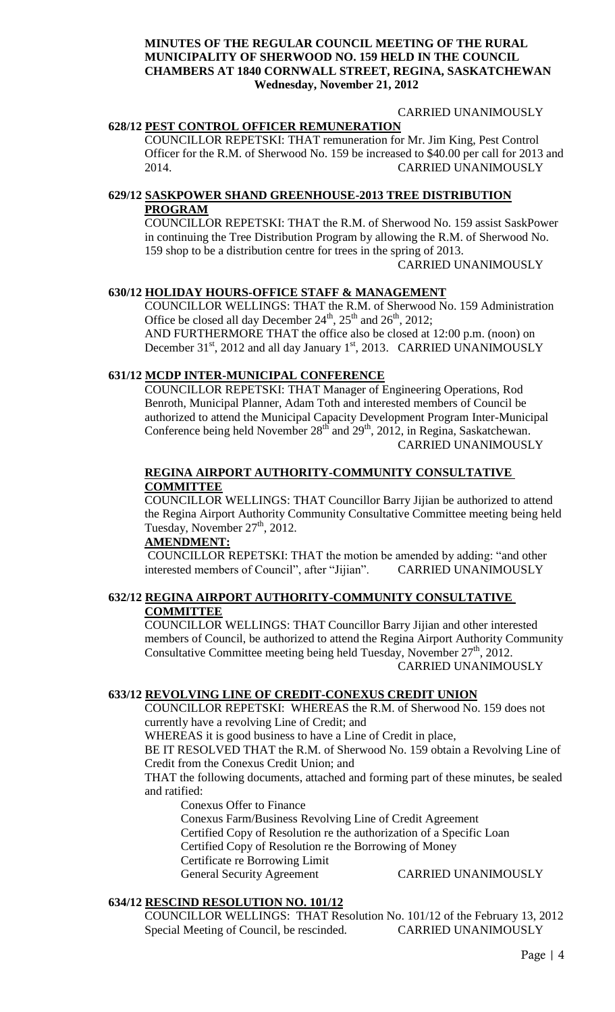#### CARRIED UNANIMOUSLY

### **628/12 PEST CONTROL OFFICER REMUNERATION**

COUNCILLOR REPETSKI: THAT remuneration for Mr. Jim King, Pest Control Officer for the R.M. of Sherwood No. 159 be increased to \$40.00 per call for 2013 and 2014. CARRIED UNANIMOUSLY

## **629/12 SASKPOWER SHAND GREENHOUSE-2013 TREE DISTRIBUTION PROGRAM**

COUNCILLOR REPETSKI: THAT the R.M. of Sherwood No. 159 assist SaskPower in continuing the Tree Distribution Program by allowing the R.M. of Sherwood No. 159 shop to be a distribution centre for trees in the spring of 2013.

CARRIED UNANIMOUSLY

# **630/12 HOLIDAY HOURS-OFFICE STAFF & MANAGEMENT**

COUNCILLOR WELLINGS: THAT the R.M. of Sherwood No. 159 Administration Office be closed all day December  $24^{th}$ ,  $25^{th}$  and  $26^{th}$ ,  $2012$ ; AND FURTHERMORE THAT the office also be closed at 12:00 p.m. (noon) on December  $31<sup>st</sup>$ , 2012 and all day January  $1<sup>st</sup>$ , 2013. CARRIED UNANIMOUSLY

## **631/12 MCDP INTER-MUNICIPAL CONFERENCE**

COUNCILLOR REPETSKI: THAT Manager of Engineering Operations, Rod Benroth, Municipal Planner, Adam Toth and interested members of Council be authorized to attend the Municipal Capacity Development Program Inter-Municipal Conference being held November 28<sup>th</sup> and 29<sup>th</sup>, 2012, in Regina, Saskatchewan. CARRIED UNANIMOUSLY

## **REGINA AIRPORT AUTHORITY-COMMUNITY CONSULTATIVE COMMITTEE**

COUNCILLOR WELLINGS: THAT Councillor Barry Jijian be authorized to attend the Regina Airport Authority Community Consultative Committee meeting being held Tuesday, November  $27<sup>th</sup>$ , 2012.

## **AMENDMENT:**

COUNCILLOR REPETSKI: THAT the motion be amended by adding: "and other interested members of Council", after "Jijian". CARRIED UNANIMOUSLY

#### **632/12 REGINA AIRPORT AUTHORITY-COMMUNITY CONSULTATIVE COMMITTEE**

COUNCILLOR WELLINGS: THAT Councillor Barry Jijian and other interested members of Council, be authorized to attend the Regina Airport Authority Community Consultative Committee meeting being held Tuesday, November 27<sup>th</sup>, 2012. CARRIED UNANIMOUSLY

#### **633/12 REVOLVING LINE OF CREDIT-CONEXUS CREDIT UNION**

COUNCILLOR REPETSKI: WHEREAS the R.M. of Sherwood No. 159 does not currently have a revolving Line of Credit; and

WHEREAS it is good business to have a Line of Credit in place,

BE IT RESOLVED THAT the R.M. of Sherwood No. 159 obtain a Revolving Line of Credit from the Conexus Credit Union; and

THAT the following documents, attached and forming part of these minutes, be sealed and ratified:

Conexus Offer to Finance

Conexus Farm/Business Revolving Line of Credit Agreement

Certified Copy of Resolution re the authorization of a Specific Loan

Certified Copy of Resolution re the Borrowing of Money

Certificate re Borrowing Limit

General Security Agreement CARRIED UNANIMOUSLY

# **634/12 RESCIND RESOLUTION NO. 101/12**

COUNCILLOR WELLINGS: THAT Resolution No. 101/12 of the February 13, 2012 Special Meeting of Council, be rescinded. CARRIED UNANIMOUSLY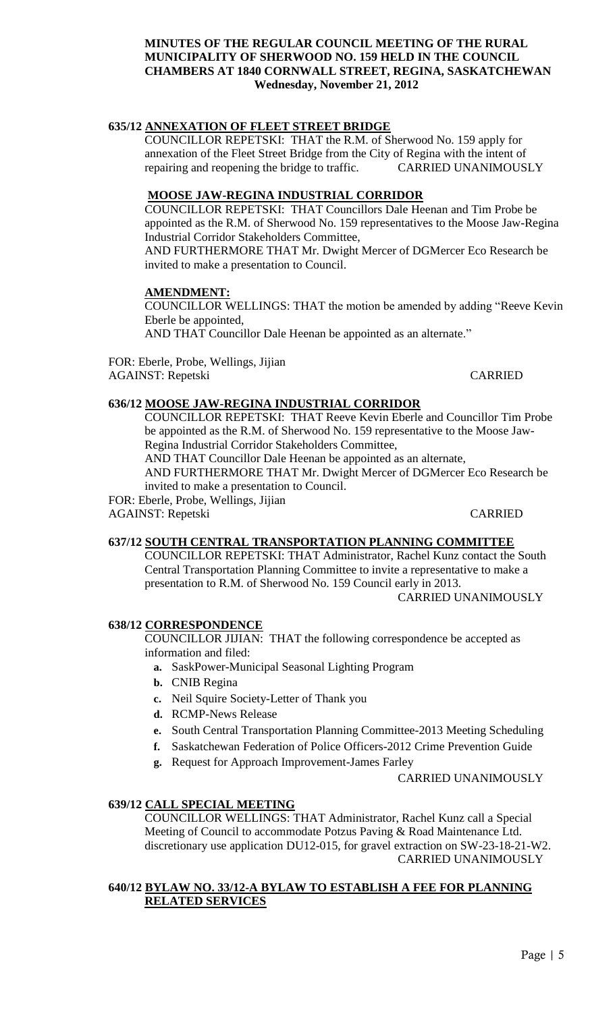# **635/12 ANNEXATION OF FLEET STREET BRIDGE**

COUNCILLOR REPETSKI: THAT the R.M. of Sherwood No. 159 apply for annexation of the Fleet Street Bridge from the City of Regina with the intent of repairing and reopening the bridge to traffic. CARRIED UNANIMOUSLY

## **MOOSE JAW-REGINA INDUSTRIAL CORRIDOR**

COUNCILLOR REPETSKI: THAT Councillors Dale Heenan and Tim Probe be appointed as the R.M. of Sherwood No. 159 representatives to the Moose Jaw-Regina Industrial Corridor Stakeholders Committee,

AND FURTHERMORE THAT Mr. Dwight Mercer of DGMercer Eco Research be invited to make a presentation to Council.

#### **AMENDMENT:**

COUNCILLOR WELLINGS: THAT the motion be amended by adding "Reeve Kevin Eberle be appointed,

AND THAT Councillor Dale Heenan be appointed as an alternate."

FOR: Eberle, Probe, Wellings, Jijian AGAINST: Repetski CARRIED

## **636/12 MOOSE JAW-REGINA INDUSTRIAL CORRIDOR**

COUNCILLOR REPETSKI: THAT Reeve Kevin Eberle and Councillor Tim Probe be appointed as the R.M. of Sherwood No. 159 representative to the Moose Jaw-Regina Industrial Corridor Stakeholders Committee,

AND THAT Councillor Dale Heenan be appointed as an alternate,

AND FURTHERMORE THAT Mr. Dwight Mercer of DGMercer Eco Research be invited to make a presentation to Council.

FOR: Eberle, Probe, Wellings, Jijian

AGAINST: Repetski CARRIED

#### **637/12 SOUTH CENTRAL TRANSPORTATION PLANNING COMMITTEE**

COUNCILLOR REPETSKI: THAT Administrator, Rachel Kunz contact the South Central Transportation Planning Committee to invite a representative to make a presentation to R.M. of Sherwood No. 159 Council early in 2013.

CARRIED UNANIMOUSLY

#### **638/12 CORRESPONDENCE**

COUNCILLOR JIJIAN: THAT the following correspondence be accepted as information and filed:

- **a.** SaskPower-Municipal Seasonal Lighting Program
- **b.** CNIB Regina
- **c.** Neil Squire Society-Letter of Thank you
- **d.** RCMP-News Release
- **e.** South Central Transportation Planning Committee-2013 Meeting Scheduling
- **f.** Saskatchewan Federation of Police Officers-2012 Crime Prevention Guide
- **g.** Request for Approach Improvement-James Farley

CARRIED UNANIMOUSLY

# **639/12 CALL SPECIAL MEETING**

COUNCILLOR WELLINGS: THAT Administrator, Rachel Kunz call a Special Meeting of Council to accommodate Potzus Paving & Road Maintenance Ltd. discretionary use application DU12-015, for gravel extraction on SW-23-18-21-W2. CARRIED UNANIMOUSLY

#### **640/12 BYLAW NO. 33/12-A BYLAW TO ESTABLISH A FEE FOR PLANNING RELATED SERVICES**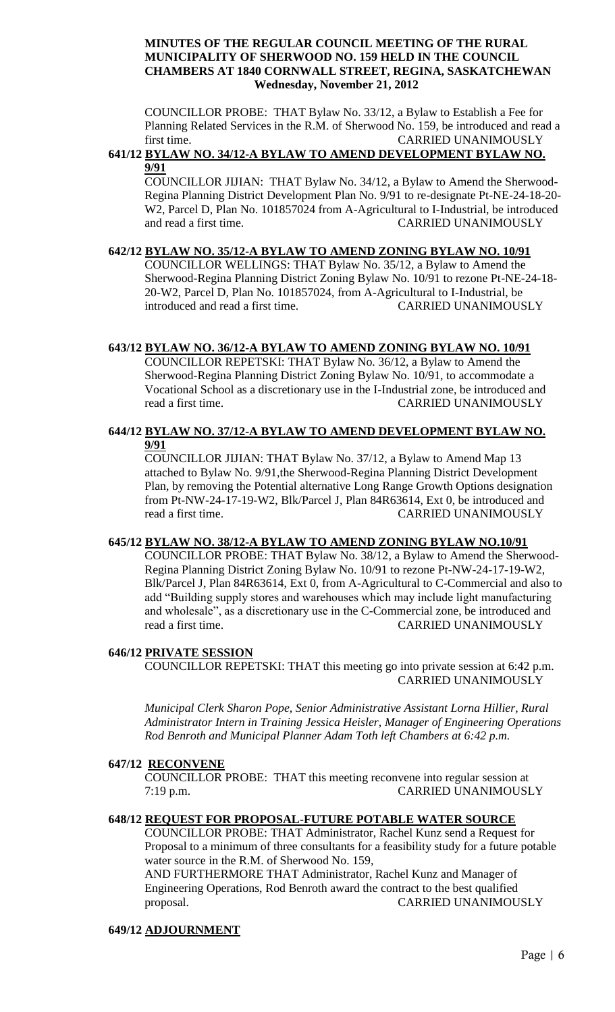COUNCILLOR PROBE: THAT Bylaw No. 33/12, a Bylaw to Establish a Fee for Planning Related Services in the R.M. of Sherwood No. 159, be introduced and read a first time. CARRIED UNANIMOUSLY

## **641/12 BYLAW NO. 34/12-A BYLAW TO AMEND DEVELOPMENT BYLAW NO. 9/91**

COUNCILLOR JIJIAN: THAT Bylaw No. 34/12, a Bylaw to Amend the Sherwood-Regina Planning District Development Plan No. 9/91 to re-designate Pt-NE-24-18-20- W2, Parcel D, Plan No. 101857024 from A-Agricultural to I-Industrial, be introduced and read a first time. CARRIED UNANIMOUSLY

## **642/12 BYLAW NO. 35/12-A BYLAW TO AMEND ZONING BYLAW NO. 10/91**

COUNCILLOR WELLINGS: THAT Bylaw No. 35/12, a Bylaw to Amend the Sherwood-Regina Planning District Zoning Bylaw No. 10/91 to rezone Pt-NE-24-18- 20-W2, Parcel D, Plan No. 101857024, from A-Agricultural to I-Industrial, be introduced and read a first time. CARRIED UNANIMOUSLY

# **643/12 BYLAW NO. 36/12-A BYLAW TO AMEND ZONING BYLAW NO. 10/91**

COUNCILLOR REPETSKI: THAT Bylaw No. 36/12, a Bylaw to Amend the Sherwood-Regina Planning District Zoning Bylaw No. 10/91, to accommodate a Vocational School as a discretionary use in the I-Industrial zone, be introduced and read a first time. CARRIED UNANIMOUSLY

# **644/12 BYLAW NO. 37/12-A BYLAW TO AMEND DEVELOPMENT BYLAW NO. 9/91**

COUNCILLOR JIJIAN: THAT Bylaw No. 37/12, a Bylaw to Amend Map 13 attached to Bylaw No. 9/91,the Sherwood-Regina Planning District Development Plan, by removing the Potential alternative Long Range Growth Options designation from Pt-NW-24-17-19-W2, Blk/Parcel J, Plan 84R63614, Ext 0, be introduced and read a first time. CARRIED UNANIMOUSLY

#### **645/12 BYLAW NO. 38/12-A BYLAW TO AMEND ZONING BYLAW NO.10/91**

COUNCILLOR PROBE: THAT Bylaw No. 38/12, a Bylaw to Amend the Sherwood-Regina Planning District Zoning Bylaw No. 10/91 to rezone Pt-NW-24-17-19-W2, Blk/Parcel J, Plan 84R63614, Ext 0, from A-Agricultural to C-Commercial and also to add "Building supply stores and warehouses which may include light manufacturing and wholesale", as a discretionary use in the C-Commercial zone, be introduced and read a first time. CARRIED UNANIMOUSLY

# **646/12 PRIVATE SESSION**

COUNCILLOR REPETSKI: THAT this meeting go into private session at 6:42 p.m. CARRIED UNANIMOUSLY

*Municipal Clerk Sharon Pope, Senior Administrative Assistant Lorna Hillier, Rural Administrator Intern in Training Jessica Heisler, Manager of Engineering Operations Rod Benroth and Municipal Planner Adam Toth left Chambers at 6:42 p.m.*

# **647/12 RECONVENE**

COUNCILLOR PROBE: THAT this meeting reconvene into regular session at 7:19 p.m. CARRIED UNANIMOUSLY

#### **648/12 REQUEST FOR PROPOSAL-FUTURE POTABLE WATER SOURCE**

COUNCILLOR PROBE: THAT Administrator, Rachel Kunz send a Request for Proposal to a minimum of three consultants for a feasibility study for a future potable water source in the R.M. of Sherwood No. 159,

AND FURTHERMORE THAT Administrator, Rachel Kunz and Manager of Engineering Operations, Rod Benroth award the contract to the best qualified proposal. CARRIED UNANIMOUSLY

# **649/12 ADJOURNMENT**